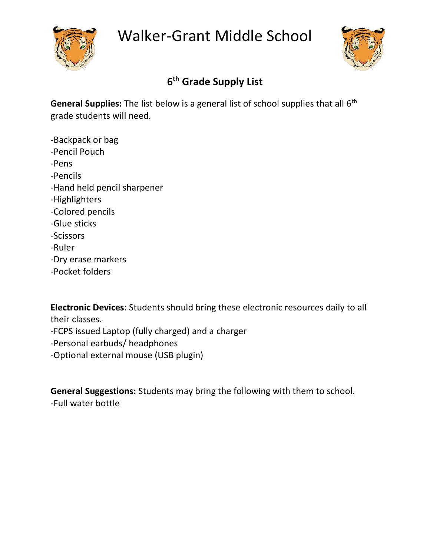





## **6 th Grade Supply List**

General Supplies: The list below is a general list of school supplies that all 6<sup>th</sup> grade students will need.

-Backpack or bag -Pencil Pouch -Pens -Pencils -Hand held pencil sharpener -Highlighters -Colored pencils -Glue sticks -Scissors -Ruler -Dry erase markers -Pocket folders

**Electronic Devices**: Students should bring these electronic resources daily to all their classes. -FCPS issued Laptop (fully charged) and a charger -Personal earbuds/ headphones -Optional external mouse (USB plugin)

**General Suggestions:** Students may bring the following with them to school. -Full water bottle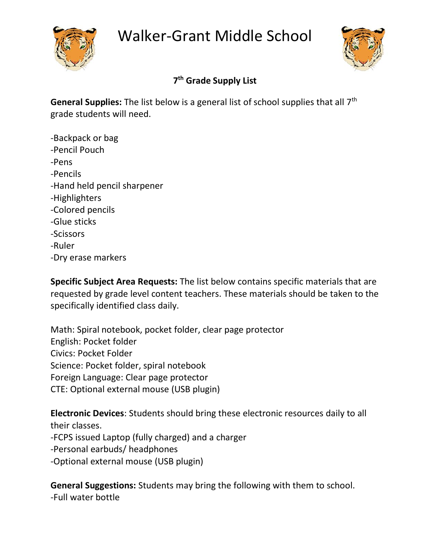





## **7 th Grade Supply List**

General Supplies: The list below is a general list of school supplies that all 7<sup>th</sup> grade students will need.

-Backpack or bag -Pencil Pouch -Pens -Pencils -Hand held pencil sharpener -Highlighters -Colored pencils -Glue sticks -Scissors -Ruler -Dry erase markers

**Specific Subject Area Requests:** The list below contains specific materials that are requested by grade level content teachers. These materials should be taken to the specifically identified class daily.

Math: Spiral notebook, pocket folder, clear page protector English: Pocket folder Civics: Pocket Folder Science: Pocket folder, spiral notebook Foreign Language: Clear page protector CTE: Optional external mouse (USB plugin)

**Electronic Devices**: Students should bring these electronic resources daily to all their classes.

-FCPS issued Laptop (fully charged) and a charger

-Personal earbuds/ headphones

-Optional external mouse (USB plugin)

**General Suggestions:** Students may bring the following with them to school. -Full water bottle